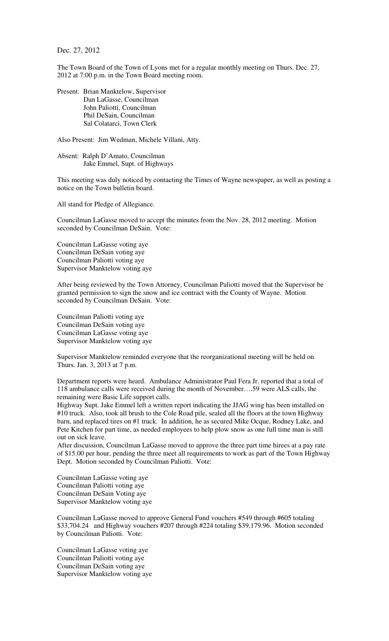Dec. 27, 2012

The Town Board of the Town of Lyons met for a regular monthly meeting on Thurs. Dec. 27, 2012 at 7:00 p.m. in the Town Board meeting room.

Present: Brian Manktelow, Supervisor Dan LaGasse, Councilman John Paliotti, Councilman Phil DeSain, Councilman Sal Colatarci, Town Clerk

Also Present: Jim Wedman, Michele Villani, Atty.

Absent: Ralph D'Amato, Councilman Jake Emmel, Supt. of Highways

This meeting was duly noticed by contacting the Times of Wayne newspaper, as well as posting a notice on the Town bulletin board.

All stand for Pledge of Allegiance.

Councilman LaGasse moved to accept the minutes from the Nov. 28, 2012 meeting. Motion seconded by Councilman DeSain. Vote:

Councilman LaGasse voting aye Councilman DeSain voting aye Councilman Paliotti voting aye Supervisor Manktelow voting aye

After being reviewed by the Town Attorney, Councilman Paliotti moved that the Supervisor be granted permission to sign the snow and ice contract with the County of Wayne. Motion seconded by Councilman DeSain. Vote:

Councilman Paliotti voting aye Councilman DeSain voting aye Councilman LaGasse voting aye Supervisor Manktelow voting aye

Supervisor Manktelow reminded everyone that the reorganizational meeting will be held on Thurs. Jan. 3, 2013 at 7 p.m.

Department reports were heard. Ambulance Administrator Paul Fera Jr. reported that a total of 118 ambulance calls were received during the month of November….59 were ALS calls, the remaining were Basic Life support calls.

Highway Supt. Jake Emmel left a written report indicating the JJAG wing has been installed on #10 truck. Also, took all brush to the Cole Road pile, sealed all the floors at the town Highway barn, and replaced tires on #1 truck. In addition, he as secured Mike Ocque, Rodney Lake, and Pete Kitchen for part time, as needed employees to help plow snow as one full time man is still out on sick leave.

After discussion, Councilman LaGasse moved to approve the three part time hirees at a pay rate of \$15.00 per hour, pending the three meet all requirements to work as part of the Town Highway Dept. Motion seconded by Councilman Paliotti. Vote:

Councilman LaGasse voting aye Councilman Paliotti voting aye Councilman DeSain Voting aye Supervisor Manktelow voting aye

Councilman LaGasse moved to approve General Fund vouchers #549 through #605 totaling \$33,704.24 and Highway vouchers #207 through #224 totaling \$39,179.96. Motion seconded by Councilman Paliotti. Vote:

Councilman LaGasse voting aye Councilman Paliotti voting aye Councilman DeSain voting aye Supervisor Manktelow voting aye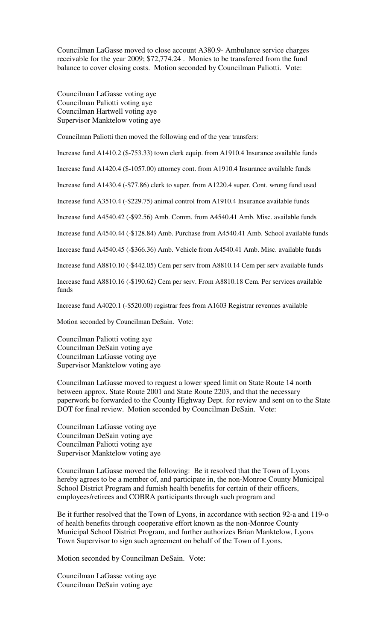Councilman LaGasse moved to close account A380.9- Ambulance service charges receivable for the year 2009; \$72,774.24 . Monies to be transferred from the fund balance to cover closing costs. Motion seconded by Councilman Paliotti. Vote:

Councilman LaGasse voting aye Councilman Paliotti voting aye Councilman Hartwell voting aye Supervisor Manktelow voting aye

Councilman Paliotti then moved the following end of the year transfers:

Increase fund A1410.2 (\$-753.33) town clerk equip. from A1910.4 Insurance available funds

Increase fund A1420.4 (\$-1057.00) attorney cont. from A1910.4 Insurance available funds

Increase fund A1430.4 (-\$77.86) clerk to super. from A1220.4 super. Cont. wrong fund used

Increase fund A3510.4 (-\$229.75) animal control from A1910.4 Insurance available funds

Increase fund A4540.42 (-\$92.56) Amb. Comm. from A4540.41 Amb. Misc. available funds

Increase fund A4540.44 (-\$128.84) Amb. Purchase from A4540.41 Amb. School available funds

Increase fund A4540.45 (-\$366.36) Amb. Vehicle from A4540.41 Amb. Misc. available funds

Increase fund A8810.10 (-\$442.05) Cem per serv from A8810.14 Cem per serv available funds

Increase fund A8810.16 (-\$190.62) Cem per serv. From A8810.18 Cem. Per services available funds

Increase fund A4020.1 (-\$520.00) registrar fees from A1603 Registrar revenues available

Motion seconded by Councilman DeSain. Vote:

Councilman Paliotti voting aye Councilman DeSain voting aye Councilman LaGasse voting aye Supervisor Manktelow voting aye

Councilman LaGasse moved to request a lower speed limit on State Route 14 north between approx. State Route 2001 and State Route 2203, and that the necessary paperwork be forwarded to the County Highway Dept. for review and sent on to the State DOT for final review. Motion seconded by Councilman DeSain. Vote:

Councilman LaGasse voting aye Councilman DeSain voting aye Councilman Paliotti voting aye Supervisor Manktelow voting aye

Councilman LaGasse moved the following: Be it resolved that the Town of Lyons hereby agrees to be a member of, and participate in, the non-Monroe County Municipal School District Program and furnish health benefits for certain of their officers, employees/retirees and COBRA participants through such program and

Be it further resolved that the Town of Lyons, in accordance with section 92-a and 119-o of health benefits through cooperative effort known as the non-Monroe County Municipal School District Program, and further authorizes Brian Manktelow, Lyons Town Supervisor to sign such agreement on behalf of the Town of Lyons.

Motion seconded by Councilman DeSain. Vote:

Councilman LaGasse voting aye Councilman DeSain voting aye